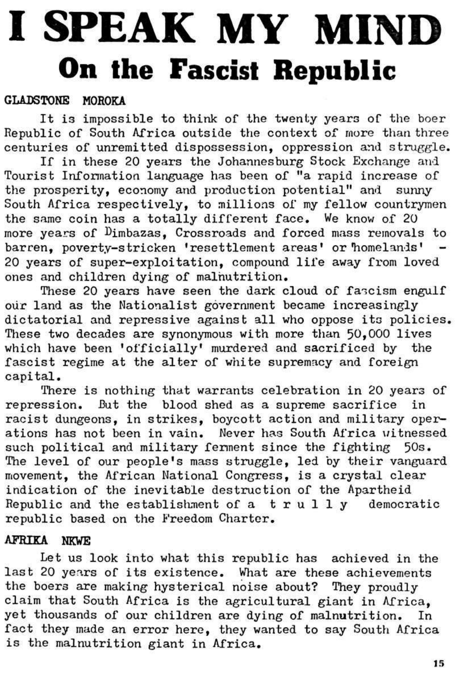# **I SPEAK MY MIND On the Fascist Republic**

## GLADSTONE MOROKA

It is impossible to think of the twenty years of the boer Republic of South Africa outside the context of more than three centuries of unremitted dispossession, oppression and struggle.

If in these 20 years the Johannesburg Stock Exchange and Tourist Information language has been of "a rapid increase of the prosperity, economy and production potential" and sunny South Africa respectively, to millions of my fellow countrymen the same coin has a totally different face. We know of 20 more years of  $D$ imbazas, Crossroads and forced mass removals to barren, poverty-stricken 'resettlement areas' or'homelands' - 20 years of super-exploitation, compound life away from loved ones and children dying of malnutrition.

There is nothing that warrants celebration in 20 years of repression. But the blood shed as a supreme sacrifice in racist dungeons, in strikes, boycott action and military operations has not been in vain. Never has South Africa uitnessed such political and military ferment since the fighting 50s. The level of our people's mass struggle, led by their vanguard movement, the African National Congress, is a crystal clear indication of the inevitable destruction of the Apartheid Republic and the establishment of  $a$  trully democratic

These 20 years have seen the dark cloud of fascism engulf our land as the Nationalist government became increasingly dictatorial and repressive against all who oppose its policies. These two decades are synonymous with more than 50,000 lives which have been 'officially' murdered and sacrificed by the fascist regime at the alter of white supremacy and foreign capital.

## republic based on the Freedom Charter.

# AFRIKA NKWE

Let us look into what this republic has achieved in the last 20 years of its existence. What are these achievements the boers are making hysterical noise about? They proudly claim that South Africa is the agricultural giant in Africa, yet thousands of our children are dying of malnutrition. In fact they made an error here, they wanted to say South Africa is the malnutrition giant in Africa.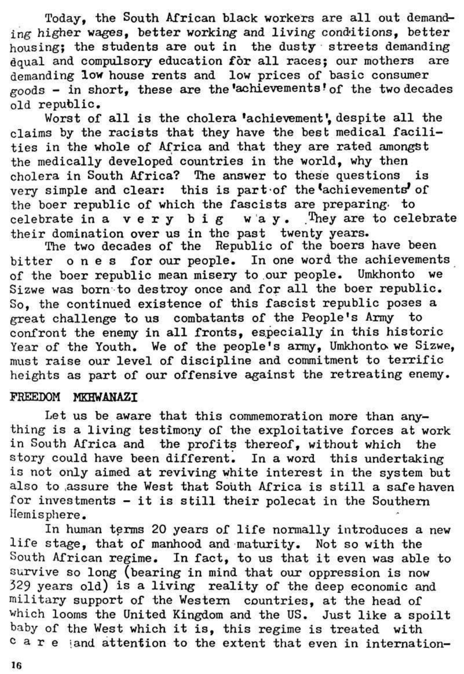Today, the South African black workers are all out demanding higher wages, better working and living conditions, better housing; the students are out in the dusty streets demanding dqual and compulsory education for all races; our mothers are demanding low house rents and low prices of basic consumer goods - in short, these are the'achievements? of the two decades old republic.

Worst of all is the cholera 'achievement', despite all the claims by the racists that they have the best medical facilities in the whole of Africa and that they are rated amongst the medically developed countries in the world, why then cholera in South Africa? The answer to these questions is very simple and clear: this is part of the achievements of the boer republic of which the fascists are preparing. to celebrate in a very big way. They are to celebrate their domination over us in the past twenty years.

The two decades of the Republic of the boers have been bitter ones for our people. In one word the achievements of the boer republic mean misery to our people. Umkhonto we Sizwe was born to destroy once and for all the boer republic. So, the continued existence of this fascist republic poses a great challenge to us combatants of the People's Army to confront the enemy in all fronts, especially in this historic Year of the Youth. We of the people's army, Umkhonto we Sizwe, must raise our level of discipline and commitment to terrific heights as part of our offensive against the retreating enemy.

#### FREEDOM MKHWANAZI

Let us be aware that this commemoration more than anything is a living testimony of the exploitative forces at work in South Africa and the profits thereof, without which the story could have been different. In a word this undertaking is not only aimed at reviving white interest in the system but also to .assure the West that South Africa is still a safe haven for investments - it is still their polecat in the Southern Hemisphere. In human terms 20 years of life normally introduces a new life stage, that of manhood and maturity. Not so with the South African regime. In fact, to us that it even was able to survive so long (bearing in mind that our oppression is now 329 years old) is a living reality of the deep economic and military support of the Western countries, at the head of which looms the United Kingdom and the US. Just like a spoilt baby of the West which it is, this regime is treated with car e land attention to the extent that even in internation-

16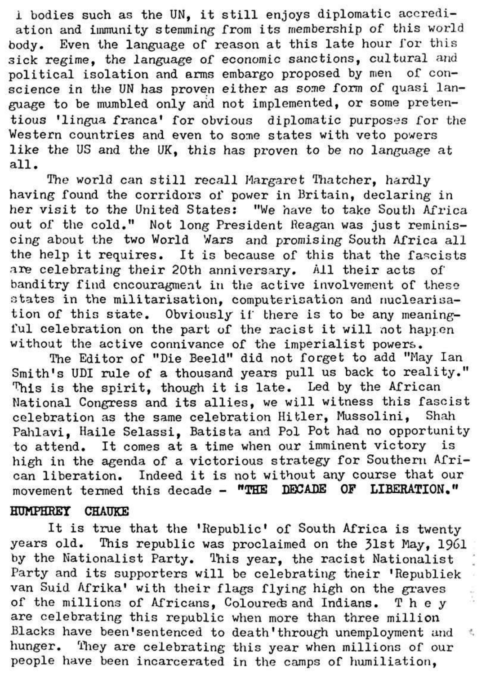i bodies such as the UN, it still enjoys diplomatic accrediation and immunity stemming from its membership of this world body. Even the language of reason at this late hour for this sick regime, the language of economic sanctions, cultural and political isolation and arms embargo proposed by men of conscience in the UN has proven either as some form of quasi language to be mumbled only and not implemented, or some pretentious 'lingua franca' for obvious diplomatic purposes for the Western countries and even to some states with veto powers like the US and the *\JK9* this has proven to be *no* language at all.

The world can still recall Margaret Thatcher, hardly having found the corridors of power in Britain, declaring in her visit to the United States: "We have to take South Africa out of the cold," Not long President Reagan was just reminiscing about the two World Wars and promising South Africa all the help it requires. It is because of this that the fascists are celebrating their 20th anniversary. All their acts of banditry find cncouragment in the active involvement of these states in the militarisation, computerisation and nuclearisation of this state. Obviously if there is to be any meaningful celebration on the part of the racist it will not happen without the active connivance of the imperialist powers.

The Editor of "Die Beeld" did not forget to add "May Ian Smith's UDI rule of a thousand years pull us back to reality." This is the spirit, though it is late. Led by the African National Congress and its allies, we will witness this fascist celebration as the same celebration Hitler, Mussolini, Shah Pahlavi, Haile Selassi, Batista and Pol Pot had no opportunity to attend. It comes at a time when our imminent victory is high in the agenda of a victorious strategy for Southern African liberation. Indeed it is not without any course that our movement termed this decade - **"THE DECADE OP LIBERATION,"** 

#### **HUMPHREY CHAUKE**

It is true that the 'Republic' of South Africa is twenty

years old. This republic was proclaimed on the 31st May, I96I by the Nationalist Party. This year, the racist Nationalist *\*  Party and its supporters will be celebrating their 'Republiek van Suid Afrika' with their flags flying high on the graves of the millions of Africans, Coloureds and Indians. The y are celebrating this republic when more than three million Blacks have been'sentenced to death'through unemployment and t hunger. They are celebrating this year when millions of our people have been incarcerated in the camps of humiliation,